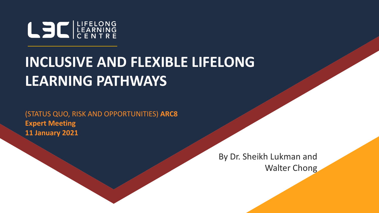

#### **INCLUSIVE AND FLEXIBLE LIFELONG LEARNING PATHWAYS**

(STATUS QUO, RISK AND OPPORTUNITIES) **ARC8 Expert Meeting 11 January 2021**

> By Dr. Sheikh Lukman and Walter Chong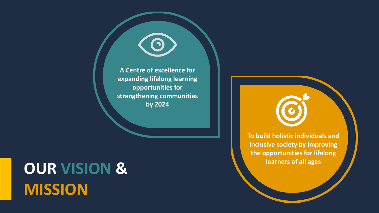**A Centre of excellence for expanding lifelong learning opportunities for strengthening communities by 2024**

# **OUR VISION & MISSION**

**To build holistic individuals and inclusive society by improving the opportunities for lifelong learners of all ages**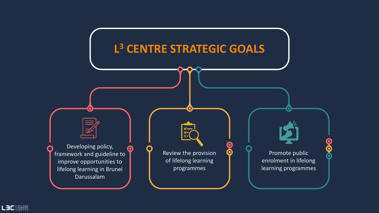

LEC ERNING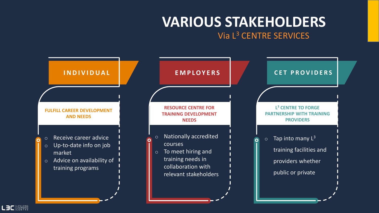#### **VARIOUS STAKEHOLDERS**

#### Via L<sup>3</sup> CENTRE SERVICES

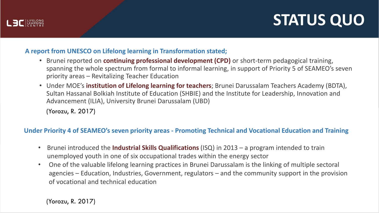

#### **A report from UNESCO on Lifelong learning in Transformation stated;**

- Brunei reported on **continuing professional development (CPD)** or short-term pedagogical training, spanning the whole spectrum from formal to informal learning, in support of Priority 5 of SEAMEO's seven priority areas – Revitalizing Teacher Education
- Under MOE's **institution of Lifelong learning for teachers**; Brunei Darussalam Teachers Academy (BDTA), Sultan Hassanal Bolkiah Institute of Education (SHBIE) and the Institute for Leadership, Innovation and Advancement (ILIA), University Brunei Darussalam (UBD)

(Yorozu, R. 2017)

LE LIFELONG

#### **Under Priority 4 of SEAMEO's seven priority areas - Promoting Technical and Vocational Education and Training**

- Brunei introduced the **Industrial Skills Qualifications** (ISQ) in 2013 a program intended to train unemployed youth in one of six occupational trades within the energy sector
- One of the valuable lifelong learning practices in Brunei Darussalam is the linking of multiple sectoral agencies – Education, Industries, Government, regulators – and the community support in the provision of vocational and technical education

(Yorozu, R. 2017)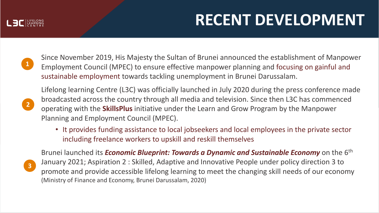

## **RECENT DEVELOPMENT**

**1**

Since November 2019, His Majesty the Sultan of Brunei announced the establishment of Manpower Employment Council (MPEC) to ensure effective manpower planning and focusing on gainful and sustainable employment towards tackling unemployment in Brunei Darussalam.



Lifelong learning Centre (L3C) was officially launched in July 2020 during the press conference made broadcasted across the country through all media and television. Since then L3C has commenced operating with the **SkillsPlus** initiative under the Learn and Grow Program by the Manpower Planning and Employment Council (MPEC).

• It provides funding assistance to local jobseekers and local employees in the private sector including freelance workers to upskill and reskill themselves

**3**

Brunei launched its *Economic Blueprint: Towards a Dynamic and Sustainable Economy* on the 6<sup>th</sup> January 2021; Aspiration 2 : Skilled, Adaptive and Innovative People under policy direction 3 to promote and provide accessible lifelong learning to meet the changing skill needs of our economy (Ministry of Finance and Economy, Brunei Darussalam, 2020)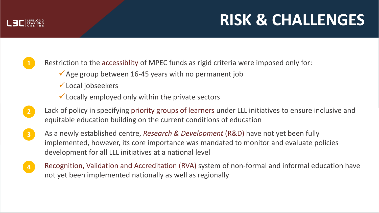### **RISK & CHALLENGES**

LE LIFELONG

**1**

Restriction to the accessiblity of MPEC funds as rigid criteria were imposed only for:

- $\checkmark$  Age group between 16-45 years with no permanent job
- $\checkmark$  Local jobseekers
- $\checkmark$  Locally employed only within the private sectors
- **2** Lack of policy in specifying priority groups of learners under LLL initiatives to ensure inclusive and equitable education building on the current conditions of education
- **3** As a newly established centre, *Research & Development* (R&D) have not yet been fully implemented, however, its core importance was mandated to monitor and evaluate policies development for all LLL initiatives at a national level
- Recognition, Validation and Accreditation (RVA) system of non-formal and informal education have not yet been implemented nationally as well as regionally **4**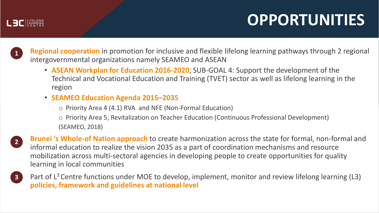## **OPPORTUNITIES**

**1 Regional cooperation** in promotion for inclusive and flexible lifelong learning pathways through 2 regional intergovernmental organizations namely SEAMEO and ASEAN

- **ASEAN Workplan for Education 2016-2020**, SUB-GOAL 4: Support the development of the Technical and Vocational Education and Training (TVET) sector as well as lifelong learning in the region
- **SEAMEO Education Agenda 2015–2035**
	- o Priority Area 4 (4.1) RVA and NFE (Non-Formal Education)
	- o Priority Area 5; Revitalization on Teacher Education (Continuous Professional Development) (SEAMEO, 2018)

**2**

LE LIFELONG

- **Brunei 's Whole-of Nation approach** to create harmonization across the state for formal, non-formal and informal education to realize the vision 2035 as a part of coordination mechanisms and resource mobilization across multi-sectoral agencies in developing people to create opportunities for quality learning in local communities
- **3** Part of  $L^3$  Centre functions under MOE to develop, implement, monitor and review lifelong learning (L3) **policies, framework and guidelines at national level**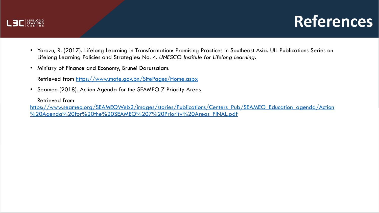

#### **References**

- Yorozu, R. (2017). Lifelong Learning in Transformation: Promising Practices in Southeast Asia. UIL Publications Series on Lifelong Learning Policies and Strategies: No. 4. *UNESCO Institute for Lifelong Learning*.
- Ministry of Finance and Economy, Brunei Darussalam.

Retrieved from<https://www.mofe.gov.bn/SitePages/Home.aspx>

• Seameo (2018). Action Agenda for the SEAMEO 7 Priority Areas

Retrieved from

[https://www.seameo.org/SEAMEOWeb2/images/stories/Publications/Centers\\_Pub/SEAMEO\\_Education\\_agenda/Action](https://www.seameo.org/SEAMEOWeb2/images/stories/Publications/Centers_Pub/SEAMEO_Education_agenda/Action%20Agenda%20for%20the%20SEAMEO%207%20Priority%20Areas_FINAL.pdf) %20Agenda%20for%20the%20SEAMEO%207%20Priority%20Areas\_FINAL.pdf